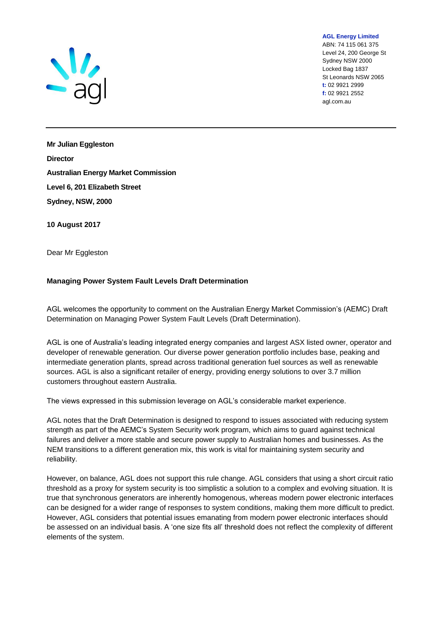

**AGL Energy Limited**

ABN: 74 115 061 375 Level 24, 200 George St Sydney NSW 2000 Locked Bag 1837 St Leonards NSW 2065 **t:** 02 9921 2999 **f:** 02 9921 2552 agl.com.au

**Mr Julian Eggleston Director Australian Energy Market Commission Level 6, 201 Elizabeth Street Sydney, NSW, 2000**

**10 August 2017** 

Dear Mr Eggleston

## **Managing Power System Fault Levels Draft Determination**

AGL welcomes the opportunity to comment on the Australian Energy Market Commission's (AEMC) Draft Determination on Managing Power System Fault Levels (Draft Determination).

AGL is one of Australia's leading integrated energy companies and largest ASX listed owner, operator and developer of renewable generation. Our diverse power generation portfolio includes base, peaking and intermediate generation plants, spread across traditional generation fuel sources as well as renewable sources. AGL is also a significant retailer of energy, providing energy solutions to over 3.7 million customers throughout eastern Australia.

The views expressed in this submission leverage on AGL's considerable market experience.

AGL notes that the Draft Determination is designed to respond to issues associated with reducing system strength as part of the AEMC's System Security work program, which aims to guard against technical failures and deliver a more stable and secure power supply to Australian homes and businesses. As the NEM transitions to a different generation mix, this work is vital for maintaining system security and reliability.

However, on balance, AGL does not support this rule change. AGL considers that using a short circuit ratio threshold as a proxy for system security is too simplistic a solution to a complex and evolving situation. It is true that synchronous generators are inherently homogenous, whereas modern power electronic interfaces can be designed for a wider range of responses to system conditions, making them more difficult to predict. However, AGL considers that potential issues emanating from modern power electronic interfaces should be assessed on an individual basis. A 'one size fits all' threshold does not reflect the complexity of different elements of the system.